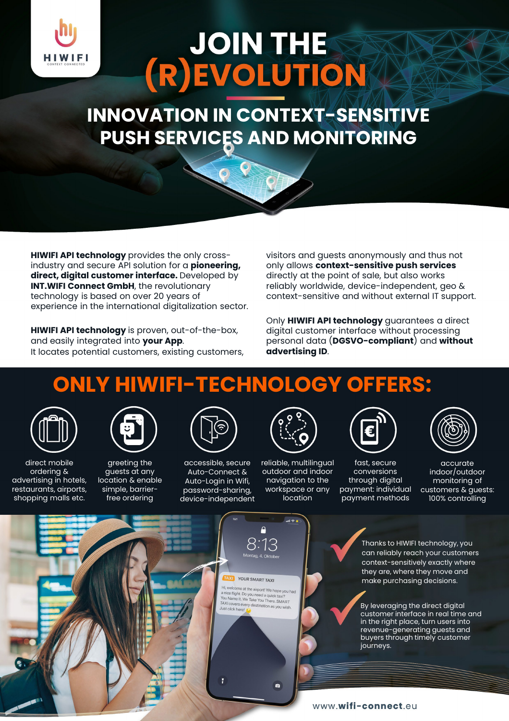

# JOIN THE

**INNOVATION IN CONTEXT-SENSITIVE PUSH SERVICES AND MONITORING**

**HIWIFI API technology** provides the only crossindustry and secure API solution for a **pioneering, direct, digital customer interface.** Developed by **INT.WIFI Connect GmbH**, the revolutionary technology is based on over 20 years of experience in the international digitalization sector.

**HIWIFI API technology** is proven, out-of-the-box, and easily integrated into **your App**. It locates potential customers, existing customers, visitors and guests anonymously and thus not only allows **context-sensitive push services**  directly at the point of sale, but also works reliably worldwide, device-independent, geo & context-sensitive and without external IT support.

Only **HIWIFI API technology** guarantees a direct digital customer interface without processing personal data (**DGSVO-compliant**) and **without advertising ID**.

#### **ONLY HIWIFI-TECHNOLOGY OFFERS:**



direct mobile ordering & advertising in hotels, restaurants, airports, shopping malls etc.



greeting the guests at any location & enable simple, barrierfree ordering



accessible, secure Auto-Connect & Auto-Login in Wifi, password-sharing, device-independent



reliable, multilingual outdoor and indoor navigation to the workspace or any location



fast, secure conversions through digital payment: individual payment methods



accurate indoor/outdoor monitoring of customers & guests: 100% controlling



Thanks to HIWIFI technology, you can reliably reach your customers context-sensitively exactly where they are, where they move and make purchasing decisions.

By leveraging the direct digital customer interface in real time and in the right place, turn users into revenue-generating guests and buyers through timely customer journeys.

www.wifi-connect.eu